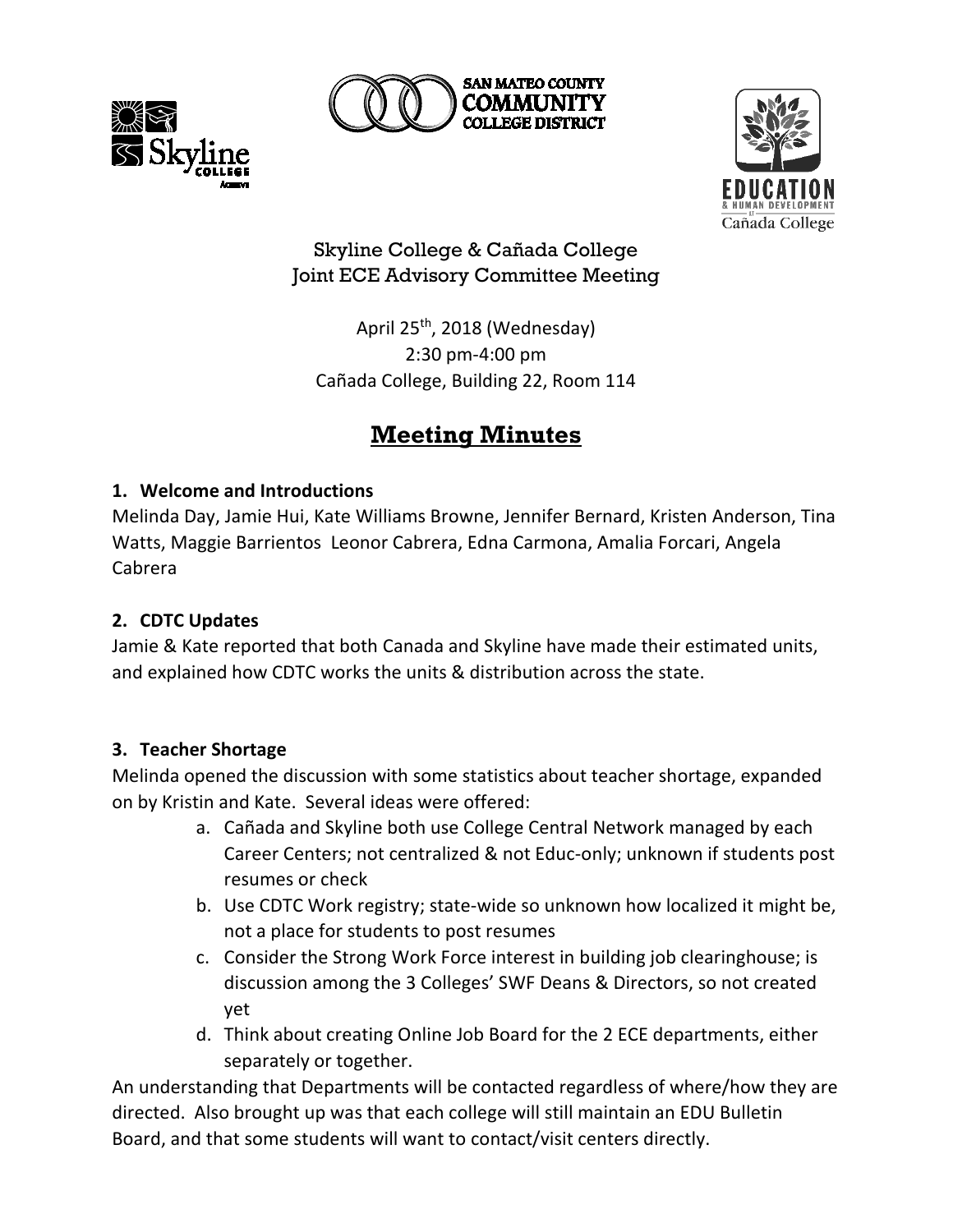





## Skyline College & Cañada College Joint ECE Advisory Committee Meeting

April 25<sup>th</sup>, 2018 (Wednesday) 2:30 pm-4:00 pm Cañada College, Building 22, Room 114

# **Meeting Minutes**

### **1. Welcome and Introductions**

Melinda Day, Jamie Hui, Kate Williams Browne, Jennifer Bernard, Kristen Anderson, Tina Watts, Maggie Barrientos Leonor Cabrera, Edna Carmona, Amalia Forcari, Angela Cabrera

## **2. CDTC Updates**

Jamie & Kate reported that both Canada and Skyline have made their estimated units, and explained how CDTC works the units & distribution across the state.

## **3. Teacher Shortage**

Melinda opened the discussion with some statistics about teacher shortage, expanded on by Kristin and Kate. Several ideas were offered:

- a. Cañada and Skyline both use College Central Network managed by each Career Centers; not centralized & not Educ-only; unknown if students post resumes or check
- b. Use CDTC Work registry; state-wide so unknown how localized it might be, not a place for students to post resumes
- c. Consider the Strong Work Force interest in building job clearinghouse; is discussion among the 3 Colleges' SWF Deans & Directors, so not created yet
- d. Think about creating Online Job Board for the 2 ECE departments, either separately or together.

An understanding that Departments will be contacted regardless of where/how they are directed. Also brought up was that each college will still maintain an EDU Bulletin Board, and that some students will want to contact/visit centers directly.